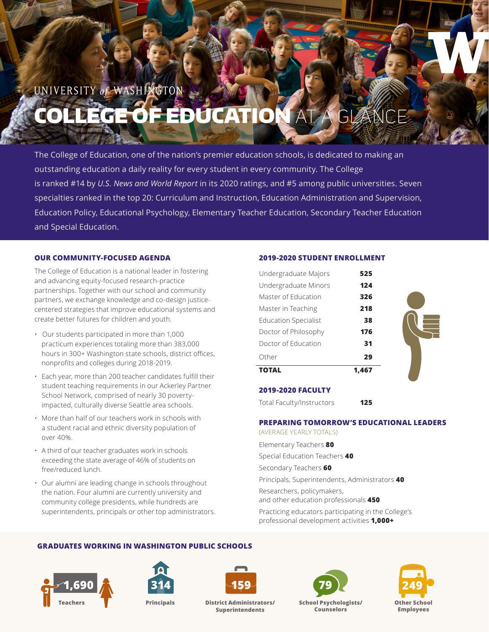# UNIVERSITY of WASHINGTON E OF EDUCATI

The College of Education, one of the nation's premier education schools, is dedicated to making an outstanding education a daily reality for every student in every community. The College is ranked #14 by *U.S. News and World Report* in its 2020 ratings, and #5 among public universities. Seven specialties ranked in the top 20: Curriculum and Instruction, Education Administration and Supervision, Education Policy, Educational Psychology, Elementary Teacher Education, Secondary Teacher Education and Special Education.

# **OUR COMMUNITY-FOCUSED AGENDA**

The College of Education is a national leader in fostering and advancing equity-focused research-practice partnerships. Together with our school and community partners, we exchange knowledge and co-design justicecentered strategies that improve educational systems and create better futures for children and youth.

- Our students participated in more than 1,000 practicum experiences totaling more than 383,000 hours in 300+ Washington state schools, district offices, nonprofits and colleges during 2018-2019.
- Each year, more than 200 teacher candidates fulfill their student teaching requirements in our Ackerley Partner School Network, comprised of nearly 30 povertyimpacted, culturally diverse Seattle area schools.
- More than half of our teachers work in schools with a student racial and ethnic diversity population of over 40%.
- A third of our teacher graduates work in schools exceeding the state average of 46% of students on free/reduced lunch.
- Our alumni are leading change in schools throughout the nation. Four alumni are currently university and community college presidents, while hundreds are superintendents, principals or other top administrators.

# **2019-2020 STUDENT ENROLLMENT**

|                             | 1.467 |  |
|-----------------------------|-------|--|
| Other                       | 29    |  |
| Doctor of Education         | 31    |  |
| Doctor of Philosophy        | 176   |  |
| <b>Education Specialist</b> | 38    |  |
| Master in Teaching          | 218   |  |
| Master of Education         | 326   |  |
| Undergraduate Minors        | 124   |  |
| Undergraduate Majors        | 525   |  |

# **2019-2020 FACULTY**

Total Faculty/Instructors **125**

# **PREPARING TOMORROW'S EDUCATIONAL LEADERS**

(AVERAGE YEARLY TOTALS) Elementary Teachers **80** Special Education Teachers **40** Secondary Teachers **60** Principals, Superintendents, Administrators **40** Researchers, policymakers, and other education professionals **450**

Practicing educators participating in the College's professional development activities **1,000+**

# **GRADUATES WORKING IN WASHINGTON PUBLIC SCHOOLS**







**District Administrators/ Superintendents Principals School Psychologists/ Teachers Other School**